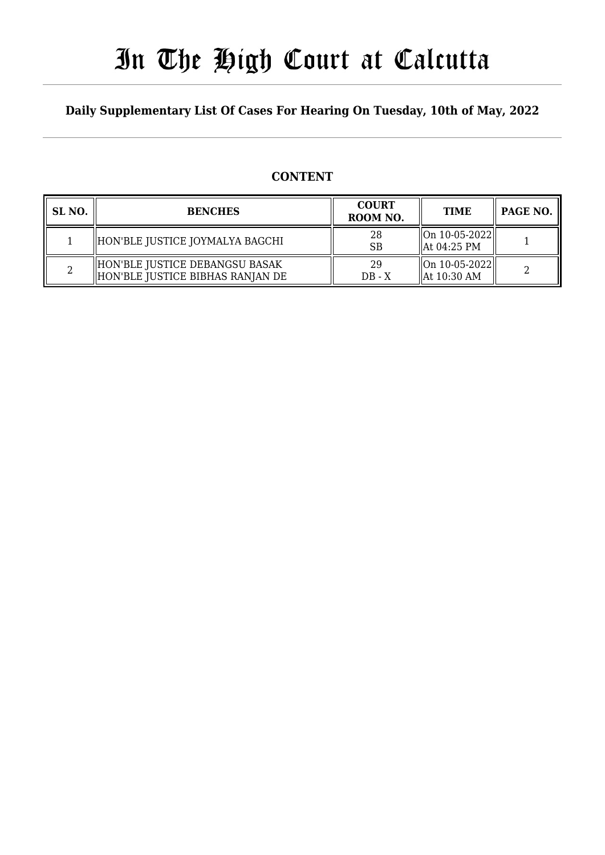# In The High Court at Calcutta

### **Daily Supplementary List Of Cases For Hearing On Tuesday, 10th of May, 2022**

### **CONTENT**

| SL <sub>NO</sub> . | <b>BENCHES</b>                                                       | <b>COURT</b><br>ROOM NO. | <b>TIME</b>                                        | PAGE NO. |
|--------------------|----------------------------------------------------------------------|--------------------------|----------------------------------------------------|----------|
|                    | HON'BLE JUSTICE JOYMALYA BAGCHI                                      | 28<br><b>SB</b>          | $\ $ On 10-05-2022 $\ $<br>  At 04:25 PM           |          |
|                    | HON'BLE JUSTICE DEBANGSU BASAK<br>  HON'BLE JUSTICE BIBHAS RANJAN DE | 29<br>$DB - X$           | $\ $ On 10-05-2022 $\ $<br>$\parallel$ At 10:30 AM |          |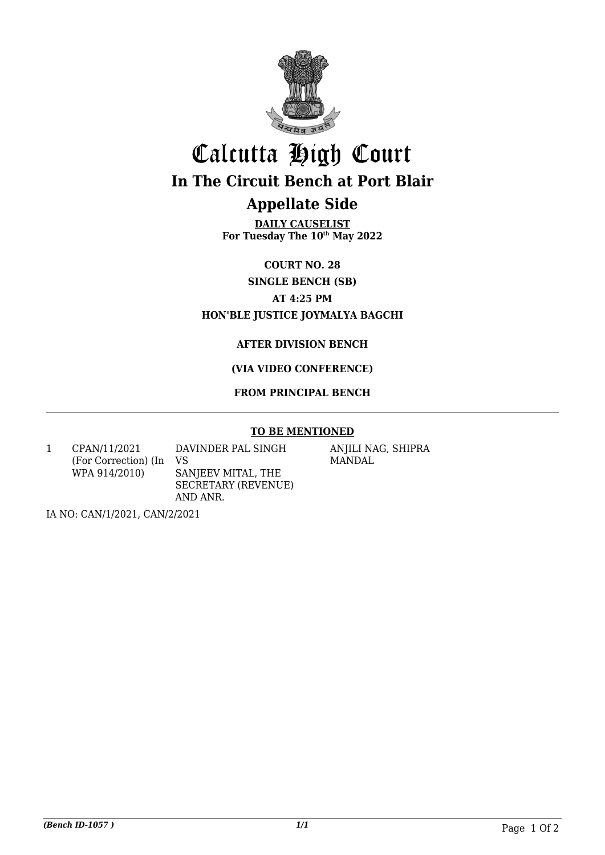

## Calcutta High Court **In The Circuit Bench at Port Blair**

## **Appellate Side**

**DAILY CAUSELIST For Tuesday The 10th May 2022**

**COURT NO. 28**

**SINGLE BENCH (SB)**

**AT 4:25 PM**

#### **HON'BLE JUSTICE JOYMALYA BAGCHI**

#### **AFTER DIVISION BENCH**

#### **(VIA VIDEO CONFERENCE)**

#### **FROM PRINCIPAL BENCH**

#### **TO BE MENTIONED**

1 CPAN/11/2021 (For Correction) (In WPA 914/2010)

DAVINDER PAL SINGH VS SANJEEV MITAL, THE SECRETARY (REVENUE) AND ANR.

ANJILI NAG, SHIPRA MANDAL

IA NO: CAN/1/2021, CAN/2/2021